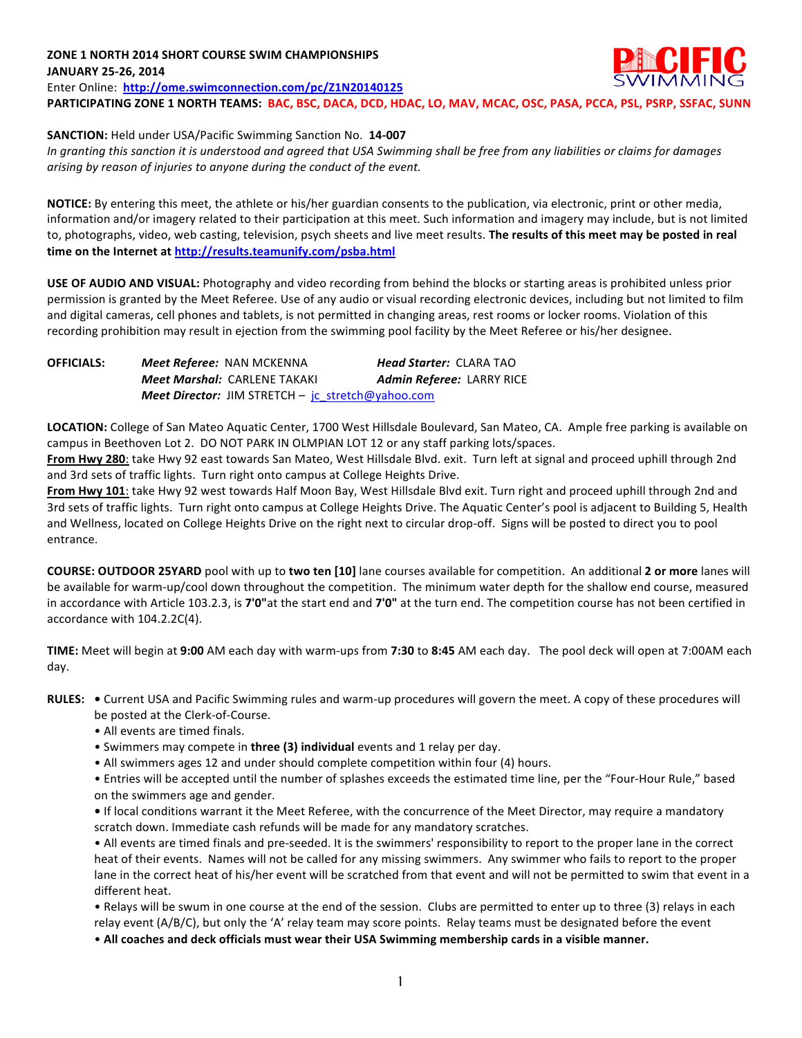## **ZONE 1 NORTH 2014 SHORT COURSE SWIM CHAMPIONSHIPS JANUARY 25-26, 2014**



Enter Online: http://ome.swimconnection.com/pc/Z1N20140125 PARTICIPATING ZONE 1 NORTH TEAMS: BAC, BSC, DACA, DCD, HDAC, LO, MAV, MCAC, OSC, PASA, PCCA, PSL, PSRP, SSFAC, SUNN

## **SANCTION:** Held under USA/Pacific Swimming Sanction No. 14-007

In granting this sanction it is understood and agreed that USA Swimming shall be free from any liabilities or claims for damages arising by reason of injuries to anyone during the conduct of the event.

**NOTICE:** By entering this meet, the athlete or his/her guardian consents to the publication, via electronic, print or other media, information and/or imagery related to their participation at this meet. Such information and imagery may include, but is not limited to, photographs, video, web casting, television, psych sheets and live meet results. The results of this meet may be posted in real time on the Internet at http://results.teamunify.com/psba.html

**USE OF AUDIO AND VISUAL:** Photography and video recording from behind the blocks or starting areas is prohibited unless prior permission is granted by the Meet Referee. Use of any audio or visual recording electronic devices, including but not limited to film and digital cameras, cell phones and tablets, is not permitted in changing areas, rest rooms or locker rooms. Violation of this recording prohibition may result in ejection from the swimming pool facility by the Meet Referee or his/her designee.

| <b>OFFICIALS:</b> | <b>Meet Referee: NAN MCKENNA</b>                         | <b>Head Starter: CLARA TAO</b> |
|-------------------|----------------------------------------------------------|--------------------------------|
|                   | <b>Meet Marshal: CARLENE TAKAKI</b>                      | Admin Referee: LARRY RICE      |
|                   | <b>Meet Director:</b> JIM STRETCH – jc stretch@yahoo.com |                                |

LOCATION: College of San Mateo Aquatic Center, 1700 West Hillsdale Boulevard, San Mateo, CA. Ample free parking is available on campus in Beethoven Lot 2. DO NOT PARK IN OLMPIAN LOT 12 or any staff parking lots/spaces.

From Hwy 280: take Hwy 92 east towards San Mateo, West Hillsdale Blvd. exit. Turn left at signal and proceed uphill through 2nd and 3rd sets of traffic lights. Turn right onto campus at College Heights Drive.

From Hwy 101: take Hwy 92 west towards Half Moon Bay, West Hillsdale Blvd exit. Turn right and proceed uphill through 2nd and 3rd sets of traffic lights. Turn right onto campus at College Heights Drive. The Aquatic Center's pool is adjacent to Building 5, Health and Wellness, located on College Heights Drive on the right next to circular drop-off. Signs will be posted to direct you to pool entrance.

**COURSE: OUTDOOR 25YARD** pool with up to two ten [10] lane courses available for competition. An additional 2 or more lanes will be available for warm-up/cool down throughout the competition. The minimum water depth for the shallow end course, measured in accordance with Article 103.2.3, is 7'0"at the start end and 7'0" at the turn end. The competition course has not been certified in accordance with 104.2.2C(4).

**TIME:** Meet will begin at 9:00 AM each day with warm-ups from 7:30 to 8:45 AM each day. The pool deck will open at 7:00AM each day.

- RULES: . Current USA and Pacific Swimming rules and warm-up procedures will govern the meet. A copy of these procedures will be posted at the Clerk-of-Course.
	- All events are timed finals.
	- Swimmers may compete in **three (3) individual** events and 1 relay per day.
	- All swimmers ages 12 and under should complete competition within four (4) hours.

• Entries will be accepted until the number of splashes exceeds the estimated time line, per the "Four-Hour Rule," based on the swimmers age and gender.

• If local conditions warrant it the Meet Referee, with the concurrence of the Meet Director, may require a mandatory scratch down. Immediate cash refunds will be made for any mandatory scratches.

• All events are timed finals and pre-seeded. It is the swimmers' responsibility to report to the proper lane in the correct heat of their events. Names will not be called for any missing swimmers. Any swimmer who fails to report to the proper lane in the correct heat of his/her event will be scratched from that event and will not be permitted to swim that event in a different heat.

• Relays will be swum in one course at the end of the session. Clubs are permitted to enter up to three (3) relays in each relay event (A/B/C), but only the 'A' relay team may score points. Relay teams must be designated before the event

• All coaches and deck officials must wear their USA Swimming membership cards in a visible manner.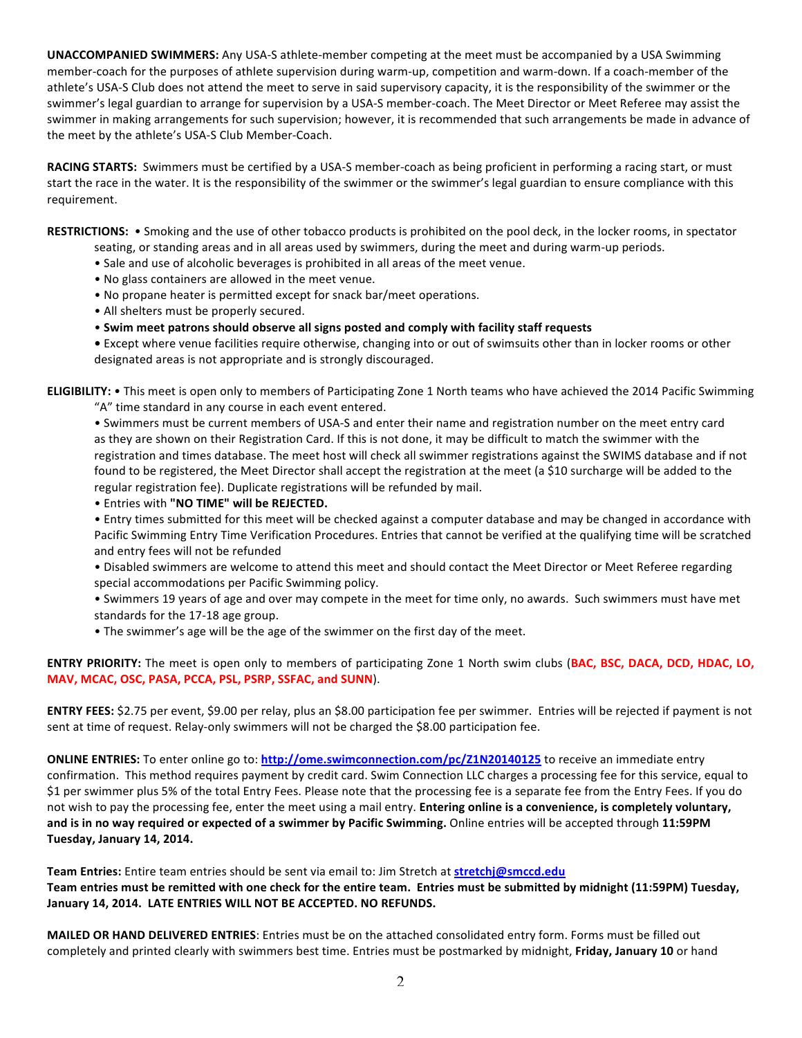**UNACCOMPANIED SWIMMERS:** Any USA-S athlete-member competing at the meet must be accompanied by a USA Swimming member-coach for the purposes of athlete supervision during warm-up, competition and warm-down. If a coach-member of the athlete's USA-S Club does not attend the meet to serve in said supervisory capacity, it is the responsibility of the swimmer or the swimmer's legal guardian to arrange for supervision by a USA-S member-coach. The Meet Director or Meet Referee may assist the swimmer in making arrangements for such supervision; however, it is recommended that such arrangements be made in advance of the meet by the athlete's USA-S Club Member-Coach.

RACING STARTS: Swimmers must be certified by a USA-S member-coach as being proficient in performing a racing start, or must start the race in the water. It is the responsibility of the swimmer or the swimmer's legal guardian to ensure compliance with this requirement.

RESTRICTIONS: . Smoking and the use of other tobacco products is prohibited on the pool deck, in the locker rooms, in spectator seating, or standing areas and in all areas used by swimmers, during the meet and during warm-up periods.

- Sale and use of alcoholic beverages is prohibited in all areas of the meet venue.
- No glass containers are allowed in the meet venue.
- No propane heater is permitted except for snack bar/meet operations.
- All shelters must be properly secured.
- Swim meet patrons should observe all signs posted and comply with facility staff requests

• Except where venue facilities require otherwise, changing into or out of swimsuits other than in locker rooms or other designated areas is not appropriate and is strongly discouraged.

**ELIGIBILITY:** • This meet is open only to members of Participating Zone 1 North teams who have achieved the 2014 Pacific Swimming "A" time standard in any course in each event entered.

• Swimmers must be current members of USA-S and enter their name and registration number on the meet entry card as they are shown on their Registration Card. If this is not done, it may be difficult to match the swimmer with the registration and times database. The meet host will check all swimmer registrations against the SWIMS database and if not found to be registered, the Meet Director shall accept the registration at the meet (a \$10 surcharge will be added to the regular registration fee). Duplicate registrations will be refunded by mail.

• Entries with **"NO TIME" will be REJECTED.** 

• Entry times submitted for this meet will be checked against a computer database and may be changed in accordance with Pacific Swimming Entry Time Verification Procedures. Entries that cannot be verified at the qualifying time will be scratched and entry fees will not be refunded

• Disabled swimmers are welcome to attend this meet and should contact the Meet Director or Meet Referee regarding special accommodations per Pacific Swimming policy.

• Swimmers 19 years of age and over may compete in the meet for time only, no awards. Such swimmers must have met standards for the 17-18 age group.

• The swimmer's age will be the age of the swimmer on the first day of the meet.

**ENTRY PRIORITY:** The meet is open only to members of participating Zone 1 North swim clubs (BAC, BSC, DACA, DCD, HDAC, LO, **MAV, MCAC, OSC, PASA, PCCA, PSL, PSRP, SSFAC, and SUNN).** 

**ENTRY FEES:** \$2.75 per event, \$9.00 per relay, plus an \$8.00 participation fee per swimmer. Entries will be rejected if payment is not sent at time of request. Relay-only swimmers will not be charged the \$8.00 participation fee.

**ONLINE ENTRIES:** To enter online go to: http://ome.swimconnection.com/pc/Z1N20140125 to receive an immediate entry confirmation. This method requires payment by credit card. Swim Connection LLC charges a processing fee for this service, equal to \$1 per swimmer plus 5% of the total Entry Fees. Please note that the processing fee is a separate fee from the Entry Fees. If you do not wish to pay the processing fee, enter the meet using a mail entry. Entering online is a convenience, is completely voluntary, and is in no way required or expected of a swimmer by Pacific Swimming. Online entries will be accepted through 11:59PM **Tuesday, January 14, 2014.** 

Team Entries: Entire team entries should be sent via email to: Jim Stretch at **stretchj@smccd.edu** Team entries must be remitted with one check for the entire team. Entries must be submitted by midnight (11:59PM) Tuesday, January 14, 2014. LATE ENTRIES WILL NOT BE ACCEPTED. NO REFUNDS.

**MAILED OR HAND DELIVERED ENTRIES**: Entries must be on the attached consolidated entry form. Forms must be filled out completely and printed clearly with swimmers best time. Entries must be postmarked by midnight, Friday, January 10 or hand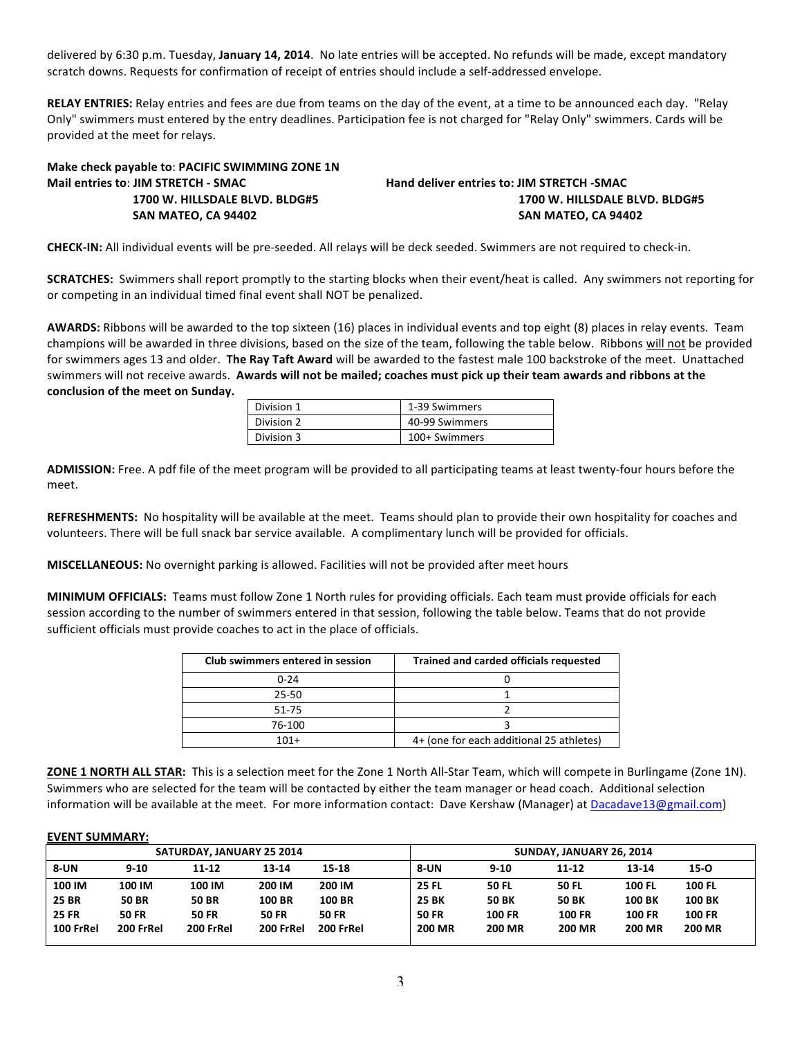delivered by 6:30 p.m. Tuesday, January 14, 2014. No late entries will be accepted. No refunds will be made, except mandatory scratch downs. Requests for confirmation of receipt of entries should include a self-addressed envelope.

**RELAY ENTRIES:** Relay entries and fees are due from teams on the day of the event, at a time to be announced each day. "Relay Only" swimmers must entered by the entry deadlines. Participation fee is not charged for "Relay Only" swimmers. Cards will be provided at the meet for relays.

| Make check payable to: PACIFIC SWIMMING ZONE 1N |                                            |  |  |  |  |
|-------------------------------------------------|--------------------------------------------|--|--|--|--|
| Mail entries to: JIM STRETCH - SMAC             | Hand deliver entries to: JIM STRETCH -SMAC |  |  |  |  |
| 1700 W. HILLSDALE BLVD. BLDG#5                  | 1700 W. HILLSDALE BLVD. BLDG#5             |  |  |  |  |
| SAN MATEO, CA 94402                             | SAN MATEO, CA 94402                        |  |  |  |  |

**CHECK-IN:** All individual events will be pre-seeded. All relays will be deck seeded. Swimmers are not required to check-in.

**SCRATCHES:** Swimmers shall report promptly to the starting blocks when their event/heat is called. Any swimmers not reporting for or competing in an individual timed final event shall NOT be penalized.

**AWARDS:** Ribbons will be awarded to the top sixteen (16) places in individual events and top eight (8) places in relay events. Team champions will be awarded in three divisions, based on the size of the team, following the table below. Ribbons will not be provided for swimmers ages 13 and older. The Ray Taft Award will be awarded to the fastest male 100 backstroke of the meet. Unattached swimmers will not receive awards. Awards will not be mailed; coaches must pick up their team awards and ribbons at the conclusion of the meet on Sunday.

| Division 1 | 1-39 Swimmers  |
|------------|----------------|
| Division 2 | 40-99 Swimmers |
| Division 3 | 100+ Swimmers  |

ADMISSION: Free. A pdf file of the meet program will be provided to all participating teams at least twenty-four hours before the meet.

REFRESHMENTS: No hospitality will be available at the meet. Teams should plan to provide their own hospitality for coaches and volunteers. There will be full snack bar service available. A complimentary lunch will be provided for officials.

**MISCELLANEOUS:** No overnight parking is allowed. Facilities will not be provided after meet hours

MINIMUM OFFICIALS: Teams must follow Zone 1 North rules for providing officials. Each team must provide officials for each session according to the number of swimmers entered in that session, following the table below. Teams that do not provide sufficient officials must provide coaches to act in the place of officials.

| Club swimmers entered in session | Trained and carded officials requested   |
|----------------------------------|------------------------------------------|
| $0 - 24$                         |                                          |
| 25-50                            |                                          |
| 51-75                            |                                          |
| 76-100                           |                                          |
| $101+$                           | 4+ (one for each additional 25 athletes) |

**ZONE 1 NORTH ALL STAR:** This is a selection meet for the Zone 1 North All-Star Team, which will compete in Burlingame (Zone 1N). Swimmers who are selected for the team will be contacted by either the team manager or head coach. Additional selection information will be available at the meet. For more information contact: Dave Kershaw (Manager) at Dacadave13@gmail.com)

## **EVENT SUMMARY:**

| SATURDAY, JANUARY 25 2014 |                                             |              |               | SUNDAY, JANUARY 26, 2014 |               |               |               |               |               |
|---------------------------|---------------------------------------------|--------------|---------------|--------------------------|---------------|---------------|---------------|---------------|---------------|
| 8-UN                      | $9 - 10$<br>$13 - 14$<br>$11 - 12$<br>15-18 |              |               |                          | 8-UN          | $9-10$        | $11 - 12$     | 13-14         | $15 - 0$      |
| 100 IM                    | 100 IM                                      | 100 IM       | 200 IM        | 200 IM                   | <b>25 FL</b>  | <b>50 FL</b>  | <b>50 FL</b>  | <b>100 FL</b> | <b>100 FL</b> |
| <b>25 BR</b>              | <b>50 BR</b>                                | <b>50 BR</b> | <b>100 BR</b> | <b>100 BR</b>            | <b>25 BK</b>  | <b>50 BK</b>  | <b>50 BK</b>  | <b>100 BK</b> | <b>100 BK</b> |
| <b>25 FR</b>              | <b>50 FR</b>                                | <b>50 FR</b> | <b>50 FR</b>  | <b>50 FR</b>             | <b>50 FR</b>  | <b>100 FR</b> | <b>100 FR</b> | <b>100 FR</b> | <b>100 FR</b> |
| 100 FrRel                 | 200 FrRel                                   | 200 FrRel    | 200 FrRel     | 200 FrRel                | <b>200 MR</b> | <b>200 MR</b> | <b>200 MR</b> | <b>200 MR</b> | <b>200 MR</b> |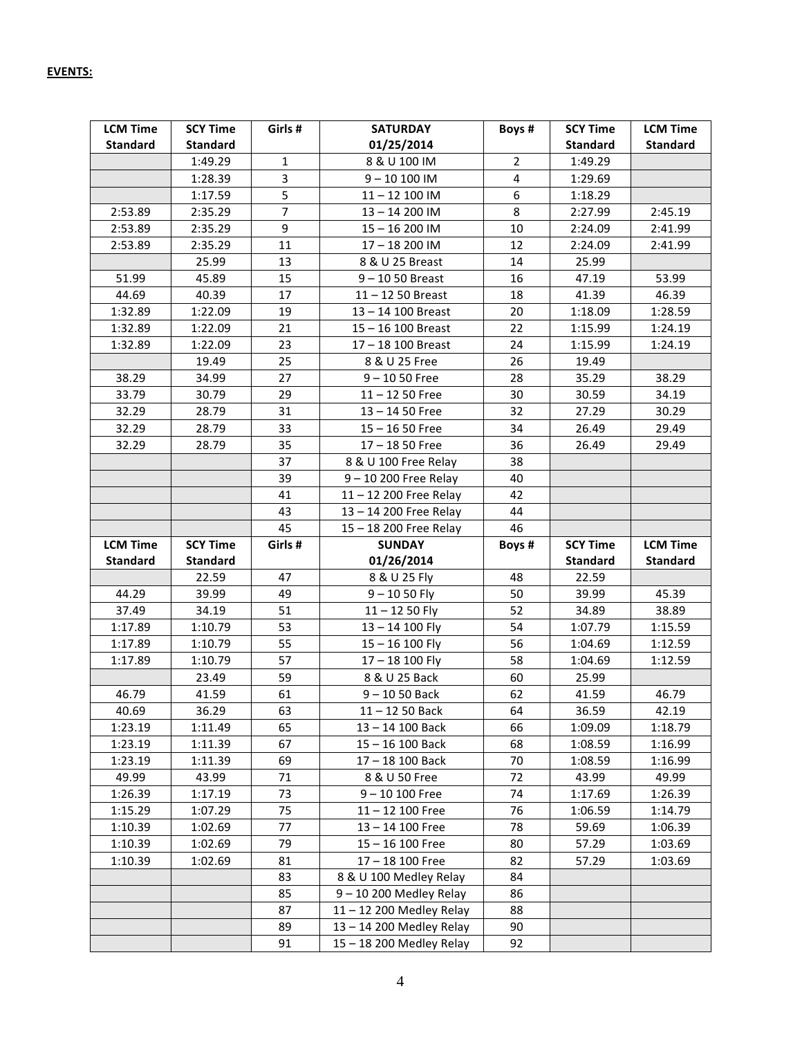| <b>LCM Time</b> | <b>SCY Time</b> | Girls #        | <b>SATURDAY</b>        | Boys #         | <b>SCY Time</b> | <b>LCM Time</b> |
|-----------------|-----------------|----------------|------------------------|----------------|-----------------|-----------------|
| <b>Standard</b> | <b>Standard</b> |                | 01/25/2014             |                | <b>Standard</b> | <b>Standard</b> |
|                 | 1:49.29         | $\mathbf{1}$   | 8 & U 100 IM           | $\overline{2}$ | 1:49.29         |                 |
|                 | 1:28.39         | 3              | $9 - 10100$ IM         | 4              | 1:29.69         |                 |
|                 | 1:17.59         | 5              | $11 - 12$ 100 IM       | 6              | 1:18.29         |                 |
| 2:53.89         | 2:35.29         | $\overline{7}$ | 13-14 200 IM           | 8              | 2:27.99         | 2:45.19         |
| 2:53.89         | 2:35.29         | 9              | 15-16 200 IM           | 10             | 2:24.09         | 2:41.99         |
| 2:53.89         | 2:35.29         | 11             | 17-18 200 IM           | 12             | 2:24.09         | 2:41.99         |
|                 | 25.99           | 13             | 8 & U 25 Breast        | 14             | 25.99           |                 |
| 51.99           | 45.89           | 15             | $9 - 1050$ Breast      | 16             | 47.19           | 53.99           |
| 44.69           | 40.39           | 17             | $11 - 1250$ Breast     | 18             | 41.39           | 46.39           |
| 1:32.89         | 1:22.09         | 19             | 13-14 100 Breast       | 20             | 1:18.09         | 1:28.59         |
| 1:32.89         | 1:22.09         | 21             | 15-16 100 Breast       | 22             | 1:15.99         | 1:24.19         |
| 1:32.89         | 1:22.09         | 23             | 17 - 18 100 Breast     | 24             | 1:15.99         | 1:24.19         |
|                 | 19.49           | 25             | 8 & U 25 Free          | 26             | 19.49           |                 |
| 38.29           | 34.99           | 27             | $9 - 1050$ Free        | 28             | 35.29           | 38.29           |
| 33.79           | 30.79           | 29             | $11 - 1250$ Free       | 30             | 30.59           | 34.19           |
| 32.29           | 28.79           | 31             | $13 - 1450$ Free       | 32             | 27.29           | 30.29           |
| 32.29           | 28.79           | 33             | $15 - 1650$ Free       | 34             | 26.49           | 29.49           |
| 32.29           | 28.79           | 35             | $17 - 1850$ Free       | 36             | 26.49           | 29.49           |
|                 |                 | 37             | 8 & U 100 Free Relay   | 38             |                 |                 |
|                 |                 | 39             | 9-10 200 Free Relay    | 40             |                 |                 |
|                 |                 | 41             | 11-12 200 Free Relay   | 42             |                 |                 |
|                 |                 | 43             | 13-14 200 Free Relay   | 44             |                 |                 |
|                 |                 | 45             | 15-18 200 Free Relay   | 46             |                 |                 |
|                 |                 |                |                        |                |                 |                 |
| <b>LCM Time</b> | <b>SCY Time</b> | Girls #        | <b>SUNDAY</b>          | Boys #         | <b>SCY Time</b> | <b>LCM Time</b> |
| <b>Standard</b> | <b>Standard</b> |                | 01/26/2014             |                | <b>Standard</b> | <b>Standard</b> |
|                 | 22.59           | 47             | 8 & U 25 Fly           | 48             | 22.59           |                 |
| 44.29           | 39.99           | 49             | $9 - 1050$ Fly         | 50             | 39.99           | 45.39           |
| 37.49           | 34.19           | 51             | $11 - 1250$ Fly        | 52             | 34.89           | 38.89           |
| 1:17.89         | 1:10.79         | 53             | $13 - 14$ 100 Fly      | 54             | 1:07.79         | 1:15.59         |
| 1:17.89         | 1:10.79         | 55             | $15 - 16$ 100 Fly      | 56             | 1:04.69         | 1:12.59         |
| 1:17.89         | 1:10.79         | 57             | 17-18 100 Fly          | 58             | 1:04.69         | 1:12.59         |
|                 | 23.49           | 59             | 8 & U 25 Back          | 60             | 25.99           |                 |
| 46.79           | 41.59           | 61             | $9 - 1050$ Back        | 62             | 41.59           | 46.79           |
| 40.69           | 36.29           | 63             | 11-12 50 Back          | 64             | 36.59           | 42.19           |
| 1:23.19         | 1:11.49         | 65             | 13-14 100 Back         | 66             | 1:09.09         | 1:18.79         |
| 1:23.19         | 1:11.39         | 67             | 15-16 100 Back         | 68             | 1:08.59         | 1:16.99         |
| 1:23.19         | 1:11.39         | 69             | 17-18 100 Back         | 70             | 1:08.59         | 1:16.99         |
| 49.99           | 43.99           | 71             | 8 & U 50 Free          | 72             | 43.99           | 49.99           |
| 1:26.39         | 1:17.19         | 73             | $9 - 10100$ Free       | 74             | 1:17.69         | 1:26.39         |
| 1:15.29         | 1:07.29         | 75             | $11 - 12$ 100 Free     | 76             | 1:06.59         | 1:14.79         |
| 1:10.39         | 1:02.69         | 77             | 13-14 100 Free         | 78             | 59.69           | 1:06.39         |
| 1:10.39         | 1:02.69         | 79             | $15 - 16100$ Free      | 80             | 57.29           | 1:03.69         |
| 1:10.39         | 1:02.69         | 81             | 17-18 100 Free         | 82             | 57.29           | 1:03.69         |
|                 |                 | 83             | 8 & U 100 Medley Relay | 84             |                 |                 |
|                 |                 | 85             | 9-10 200 Medley Relay  | 86             |                 |                 |
|                 |                 | 87             | 11-12 200 Medley Relay | 88             |                 |                 |
|                 |                 | 89             | 13-14 200 Medley Relay | 90             |                 |                 |